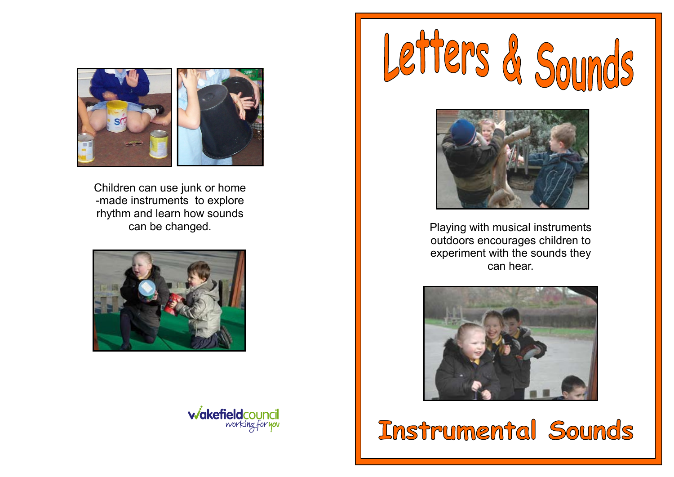

Children can use junk or home -made instruments to explore rhythm and learn how sounds









can be changed. The changed instruments of the changed. outdoors encourages children to experiment with the sounds they can hear.



**Instrumental Sounds**